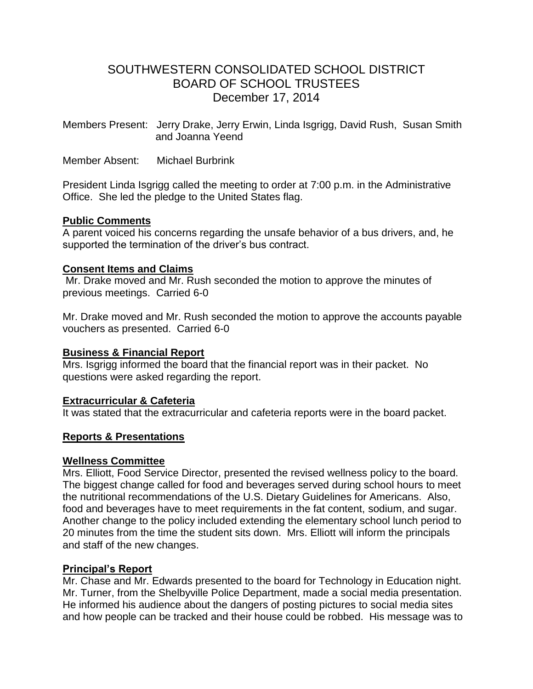# SOUTHWESTERN CONSOLIDATED SCHOOL DISTRICT BOARD OF SCHOOL TRUSTEES December 17, 2014

Members Present: Jerry Drake, Jerry Erwin, Linda Isgrigg, David Rush, Susan Smith and Joanna Yeend

Member Absent: Michael Burbrink

President Linda Isgrigg called the meeting to order at 7:00 p.m. in the Administrative Office. She led the pledge to the United States flag.

#### **Public Comments**

A parent voiced his concerns regarding the unsafe behavior of a bus drivers, and, he supported the termination of the driver's bus contract.

## **Consent Items and Claims**

Mr. Drake moved and Mr. Rush seconded the motion to approve the minutes of previous meetings. Carried 6-0

Mr. Drake moved and Mr. Rush seconded the motion to approve the accounts payable vouchers as presented. Carried 6-0

#### **Business & Financial Report**

Mrs. Isgrigg informed the board that the financial report was in their packet. No questions were asked regarding the report.

#### **Extracurricular & Cafeteria**

It was stated that the extracurricular and cafeteria reports were in the board packet.

## **Reports & Presentations**

#### **Wellness Committee**

Mrs. Elliott, Food Service Director, presented the revised wellness policy to the board. The biggest change called for food and beverages served during school hours to meet the nutritional recommendations of the U.S. Dietary Guidelines for Americans. Also, food and beverages have to meet requirements in the fat content, sodium, and sugar. Another change to the policy included extending the elementary school lunch period to 20 minutes from the time the student sits down. Mrs. Elliott will inform the principals and staff of the new changes.

#### **Principal's Report**

Mr. Chase and Mr. Edwards presented to the board for Technology in Education night. Mr. Turner, from the Shelbyville Police Department, made a social media presentation. He informed his audience about the dangers of posting pictures to social media sites and how people can be tracked and their house could be robbed. His message was to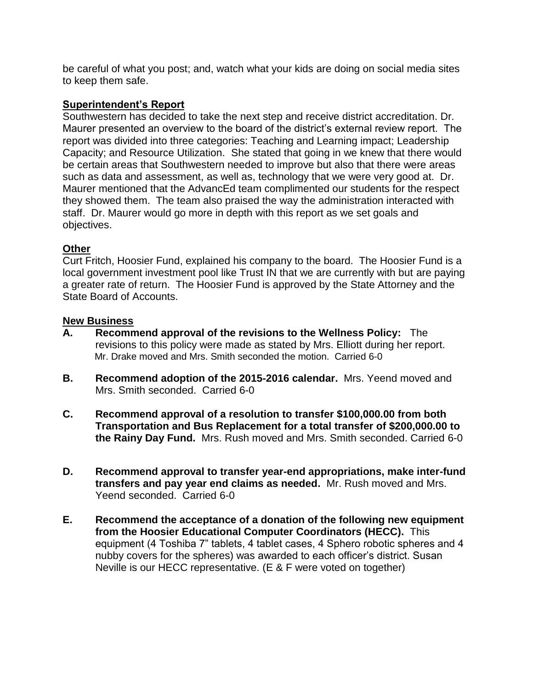be careful of what you post; and, watch what your kids are doing on social media sites to keep them safe.

### **Superintendent's Report**

Southwestern has decided to take the next step and receive district accreditation. Dr. Maurer presented an overview to the board of the district's external review report. The report was divided into three categories: Teaching and Learning impact; Leadership Capacity; and Resource Utilization. She stated that going in we knew that there would be certain areas that Southwestern needed to improve but also that there were areas such as data and assessment, as well as, technology that we were very good at. Dr. Maurer mentioned that the AdvancEd team complimented our students for the respect they showed them. The team also praised the way the administration interacted with staff. Dr. Maurer would go more in depth with this report as we set goals and objectives.

## **Other**

Curt Fritch, Hoosier Fund, explained his company to the board. The Hoosier Fund is a local government investment pool like Trust IN that we are currently with but are paying a greater rate of return. The Hoosier Fund is approved by the State Attorney and the State Board of Accounts.

#### **New Business**

- **A. Recommend approval of the revisions to the Wellness Policy:** The revisions to this policy were made as stated by Mrs. Elliott during her report. Mr. Drake moved and Mrs. Smith seconded the motion. Carried 6-0
- **B. Recommend adoption of the 2015-2016 calendar.** Mrs. Yeend moved and Mrs. Smith seconded. Carried 6-0
- **C. Recommend approval of a resolution to transfer \$100,000.00 from both Transportation and Bus Replacement for a total transfer of \$200,000.00 to the Rainy Day Fund.** Mrs. Rush moved and Mrs. Smith seconded. Carried 6-0
- **D. Recommend approval to transfer year-end appropriations, make inter-fund transfers and pay year end claims as needed.** Mr. Rush moved and Mrs. Yeend seconded. Carried 6-0
- **E. Recommend the acceptance of a donation of the following new equipment from the Hoosier Educational Computer Coordinators (HECC).** This equipment (4 Toshiba 7" tablets, 4 tablet cases, 4 Sphero robotic spheres and 4 nubby covers for the spheres) was awarded to each officer's district. Susan Neville is our HECC representative. (E & F were voted on together)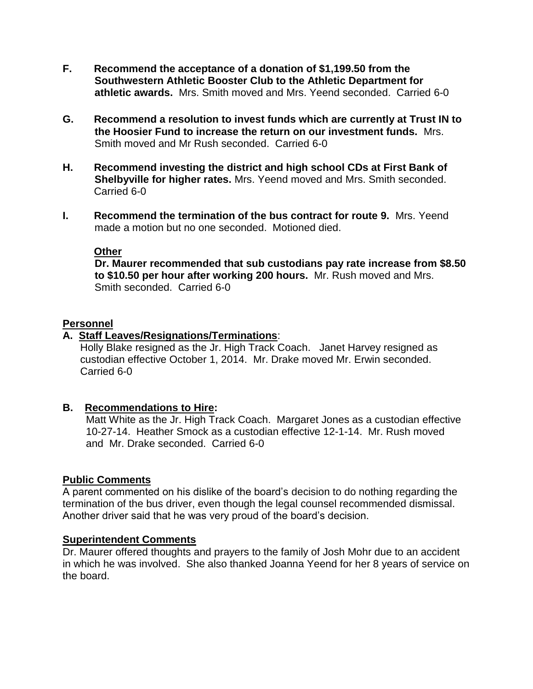- **F. Recommend the acceptance of a donation of \$1,199.50 from the Southwestern Athletic Booster Club to the Athletic Department for athletic awards.** Mrs. Smith moved and Mrs. Yeend seconded. Carried 6-0
- **G. Recommend a resolution to invest funds which are currently at Trust IN to the Hoosier Fund to increase the return on our investment funds.** Mrs. Smith moved and Mr Rush seconded. Carried 6-0
- **H. Recommend investing the district and high school CDs at First Bank of Shelbyville for higher rates.** Mrs. Yeend moved and Mrs. Smith seconded. Carried 6-0
- **I. Recommend the termination of the bus contract for route 9.** Mrs. Yeend made a motion but no one seconded. Motioned died.

#### **Other**

 **Dr. Maurer recommended that sub custodians pay rate increase from \$8.50 to \$10.50 per hour after working 200 hours.** Mr. Rush moved and Mrs. Smith seconded. Carried 6-0

#### **Personnel**

## **A. Staff Leaves/Resignations/Terminations**:

 Holly Blake resigned as the Jr. High Track Coach. Janet Harvey resigned as custodian effective October 1, 2014. Mr. Drake moved Mr. Erwin seconded. Carried 6-0

#### **B. Recommendations to Hire:**

 Matt White as the Jr. High Track Coach. Margaret Jones as a custodian effective 10-27-14. Heather Smock as a custodian effective 12-1-14. Mr. Rush moved and Mr. Drake seconded. Carried 6-0

#### **Public Comments**

A parent commented on his dislike of the board's decision to do nothing regarding the termination of the bus driver, even though the legal counsel recommended dismissal. Another driver said that he was very proud of the board's decision.

#### **Superintendent Comments**

Dr. Maurer offered thoughts and prayers to the family of Josh Mohr due to an accident in which he was involved. She also thanked Joanna Yeend for her 8 years of service on the board.